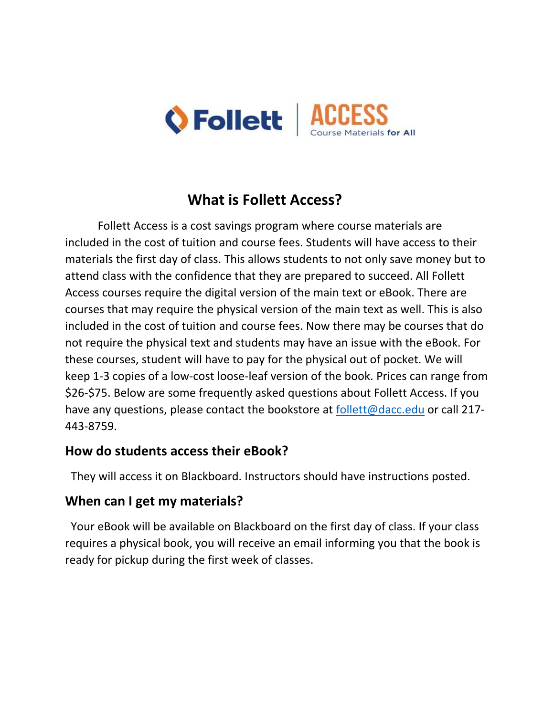

# **What is Follett Access?**

Follett Access is a cost savings program where course materials are included in the cost of tuition and course fees. Students will have access to their materials the first day of class. This allows students to not only save money but to attend class with the confidence that they are prepared to succeed. All Follett Access courses require the digital version of the main text or eBook. There are courses that may require the physical version of the main text as well. This is also included in the cost of tuition and course fees. Now there may be courses that do not require the physical text and students may have an issue with the eBook. For these courses, student will have to pay for the physical out of pocket. We will keep 1‐3 copies of a low‐cost loose‐leaf version of the book. Prices can range from \$26‐\$75. Below are some frequently asked questions about Follett Access. If you have any questions, please contact the bookstore at follett@dacc.edu or call 217-443‐8759.

### **How do students access their eBook?**

They will access it on Blackboard. Instructors should have instructions posted.

### **When can I get my materials?**

 Your eBook will be available on Blackboard on the first day of class. If your class requires a physical book, you will receive an email informing you that the book is ready for pickup during the first week of classes.